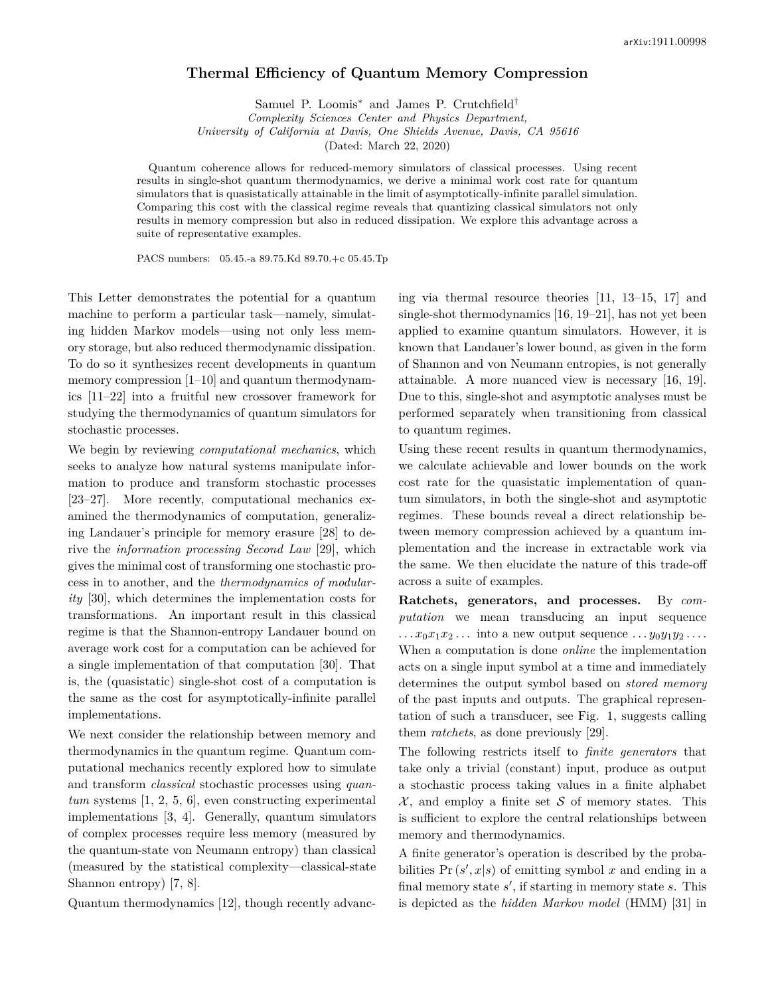## **Thermal Efficiency of Quantum Memory Compression**

Samuel P. Loomis<sup>∗</sup> and James P. Crutchfield† *Complexity Sciences Center and Physics Department,*

*University of California at Davis, One Shields Avenue, Davis, CA 95616*

(Dated: March 22, 2020)

Quantum coherence allows for reduced-memory simulators of classical processes. Using recent results in single-shot quantum thermodynamics, we derive a minimal work cost rate for quantum simulators that is quasistatically attainable in the limit of asymptotically-infinite parallel simulation. Comparing this cost with the classical regime reveals that quantizing classical simulators not only results in memory compression but also in reduced dissipation. We explore this advantage across a suite of representative examples.

PACS numbers: 05.45.-a 89.75.Kd 89.70.+c 05.45.Tp

This Letter demonstrates the potential for a quantum machine to perform a particular task—namely, simulating hidden Markov models—using not only less memory storage, but also reduced thermodynamic dissipation. To do so it synthesizes recent developments in quantum memory compression [1–10] and quantum thermodynamics [11–22] into a fruitful new crossover framework for studying the thermodynamics of quantum simulators for stochastic processes.

We begin by reviewing *computational mechanics*, which seeks to analyze how natural systems manipulate information to produce and transform stochastic processes [23–27]. More recently, computational mechanics examined the thermodynamics of computation, generalizing Landauer's principle for memory erasure [28] to derive the *information processing Second Law* [29], which gives the minimal cost of transforming one stochastic process in to another, and the *thermodynamics of modularity* [30], which determines the implementation costs for transformations. An important result in this classical regime is that the Shannon-entropy Landauer bound on average work cost for a computation can be achieved for a single implementation of that computation [30]. That is, the (quasistatic) single-shot cost of a computation is the same as the cost for asymptotically-infinite parallel implementations.

We next consider the relationship between memory and thermodynamics in the quantum regime. Quantum computational mechanics recently explored how to simulate and transform *classical* stochastic processes using *quantum* systems [1, 2, 5, 6], even constructing experimental implementations [3, 4]. Generally, quantum simulators of complex processes require less memory (measured by the quantum-state von Neumann entropy) than classical (measured by the statistical complexity—classical-state Shannon entropy) [7, 8].

Quantum thermodynamics [12], though recently advanc-

ing via thermal resource theories [11, 13–15, 17] and single-shot thermodynamics [16, 19–21], has not yet been applied to examine quantum simulators. However, it is known that Landauer's lower bound, as given in the form of Shannon and von Neumann entropies, is not generally attainable. A more nuanced view is necessary [16, 19]. Due to this, single-shot and asymptotic analyses must be performed separately when transitioning from classical to quantum regimes.

Using these recent results in quantum thermodynamics, we calculate achievable and lower bounds on the work cost rate for the quasistatic implementation of quantum simulators, in both the single-shot and asymptotic regimes. These bounds reveal a direct relationship between memory compression achieved by a quantum implementation and the increase in extractable work via the same. We then elucidate the nature of this trade-off across a suite of examples.

**Ratchets, generators, and processes.** By *computation* we mean transducing an input sequence  $\ldots$   $x_0x_1x_2\ldots$  into a new output sequence  $\ldots$   $y_0y_1y_2\ldots$ When a computation is done *online* the implementation acts on a single input symbol at a time and immediately determines the output symbol based on *stored memory* of the past inputs and outputs. The graphical representation of such a transducer, see Fig. 1, suggests calling them *ratchets*, as done previously [29].

The following restricts itself to *finite generators* that take only a trivial (constant) input, produce as output a stochastic process taking values in a finite alphabet  $X$ , and employ a finite set S of memory states. This is sufficient to explore the central relationships between memory and thermodynamics.

A finite generator's operation is described by the probabilities  $Pr(s', x|s)$  of emitting symbol *x* and ending in a final memory state *s'*, if starting in memory state *s*. This is depicted as the *hidden Markov model* (HMM) [31] in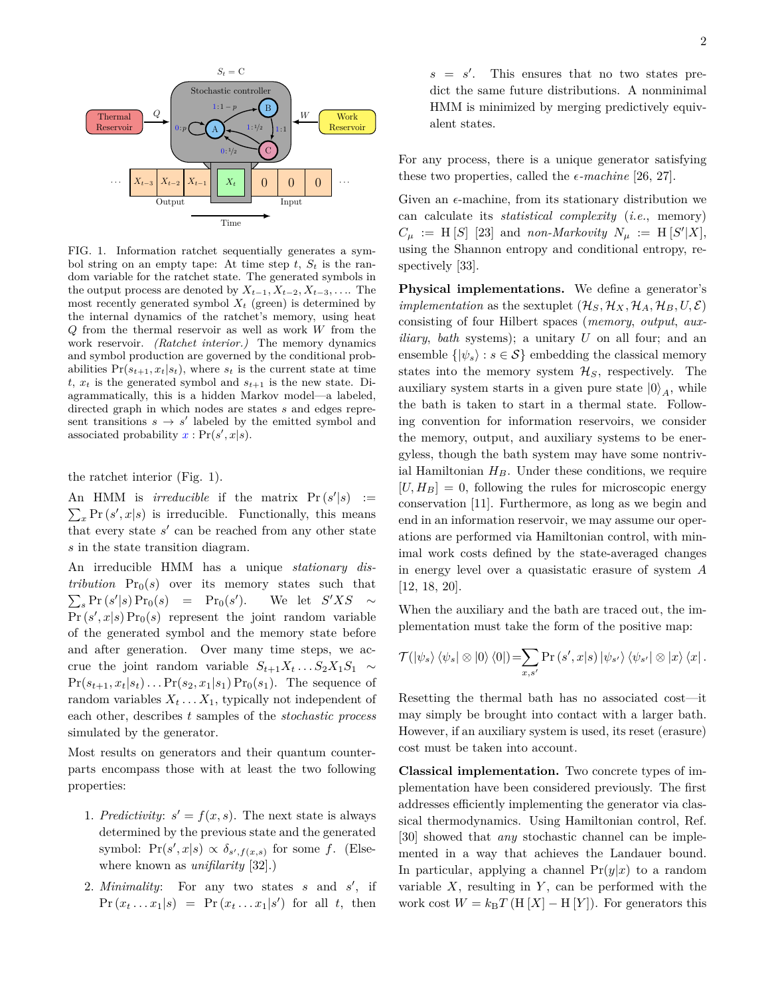

FIG. 1. Information ratchet sequentially generates a symbol string on an empty tape: At time step  $t$ ,  $S_t$  is the random variable for the ratchet state. The generated symbols in the output process are denoted by  $X_{t-1}, X_{t-2}, X_{t-3}, \ldots$  The most recently generated symbol  $X_t$  (green) is determined by the internal dynamics of the ratchet's memory, using heat *Q* from the thermal reservoir as well as work *W* from the work reservoir. *(Ratchet interior.)* The memory dynamics and symbol production are governed by the conditional probabilities  $Pr(s_{t+1}, x_t|s_t)$ , where  $s_t$  is the current state at time  $t, x_t$  is the generated symbol and  $s_{t+1}$  is the new state. Diagrammatically, this is a hidden Markov model—a labeled, directed graph in which nodes are states *s* and edges represent transitions  $s \to s'$  labeled by the emitted symbol and associated probability  $x : Pr(s', x|s)$ .

the ratchet interior (Fig. 1).

An HMM is *irreducible* if the matrix  $Pr(s'|s)$  :=  $\sum_{x} \Pr(s', x | s)$  is irreducible. Functionally, this means that every state  $s'$  can be reached from any other state *s* in the state transition diagram.

An irreducible HMM has a unique *stationary distribution*  $Pr_0(s)$  over its memory states such that  $\sum_{s} \Pr(s'|s) \Pr_0(s) = \Pr_0(s'')$ ). We let  $S'XS \sim$  $Pr(s', x|s) Pr_0(s)$  represent the joint random variable of the generated symbol and the memory state before and after generation. Over many time steps, we accrue the joint random variable  $S_{t+1}X_t \ldots S_2X_1S_1 \sim$  $Pr(s_{t+1}, x_t | s_t) \ldots Pr(s_2, x_1 | s_1) Pr_0(s_1)$ . The sequence of random variables  $X_t \ldots X_1$ , typically not independent of each other, describes *t* samples of the *stochastic process* simulated by the generator.

Most results on generators and their quantum counterparts encompass those with at least the two following properties:

- 1. *Predictivity:*  $s' = f(x, s)$ . The next state is always determined by the previous state and the generated symbol:  $Pr(s', x|s) \propto \delta_{s',f(x,s)}$  for some *f*. (Elsewhere known as *unifilarity* [32].)
- 2. *Minimality*: For any two states *s* and *s'*, if  $Pr(x_t \dots x_1 | s) = Pr(x_t \dots x_1 | s')$  for all *t*, then

 $s = s'$ . This ensures that no two states predict the same future distributions. A nonminimal HMM is minimized by merging predictively equivalent states.

For any process, there is a unique generator satisfying these two properties, called the  $\epsilon$ -machine [26, 27].

Given an  $\epsilon$ -machine, from its stationary distribution we can calculate its *statistical complexity* (*i.e.*, memory)  $C_{\mu}$  := H [*S*] [23] and *non-Markovity*  $N_{\mu}$  := H [*S*<sup>'</sup>|X], using the Shannon entropy and conditional entropy, respectively [33].

**Physical implementations.** We define a generator's *implementation* as the sextuplet  $(\mathcal{H}_S, \mathcal{H}_X, \mathcal{H}_A, \mathcal{H}_B, U, \mathcal{E})$ consisting of four Hilbert spaces (*memory*, *output*, *auxiliary*, *bath* systems); a unitary *U* on all four; and an ensemble  $\{|\psi_s\rangle : s \in \mathcal{S}\}\$ embedding the classical memory states into the memory system  $\mathcal{H}_S$ , respectively. The auxiliary system starts in a given pure state  $|0\rangle_A$ , while the bath is taken to start in a thermal state. Following convention for information reservoirs, we consider the memory, output, and auxiliary systems to be energyless, though the bath system may have some nontrivial Hamiltonian  $H_B$ . Under these conditions, we require  $[U, H_B] = 0$ , following the rules for microscopic energy conservation [11]. Furthermore, as long as we begin and end in an information reservoir, we may assume our operations are performed via Hamiltonian control, with minimal work costs defined by the state-averaged changes in energy level over a quasistatic erasure of system *A* [12, 18, 20].

When the auxiliary and the bath are traced out, the implementation must take the form of the positive map:

$$
\mathcal{T}(\ket{\psi_s}\bra{\psi_s}\otimes\ket{0}\bra{0})=\sum_{x,s'}\Pr(s',x|s)\ket{\psi_{s'}}\bra{\psi_{s'}}\otimes\ket{x}\bra{x}.
$$

Resetting the thermal bath has no associated cost—it may simply be brought into contact with a larger bath. However, if an auxiliary system is used, its reset (erasure) cost must be taken into account.

**Classical implementation.** Two concrete types of implementation have been considered previously. The first addresses efficiently implementing the generator via classical thermodynamics. Using Hamiltonian control, Ref. [30] showed that *any* stochastic channel can be implemented in a way that achieves the Landauer bound. In particular, applying a channel  $Pr(y|x)$  to a random variable *X*, resulting in *Y* , can be performed with the work cost  $W = k_B T$  (H  $[X]$  – H  $[Y]$ ). For generators this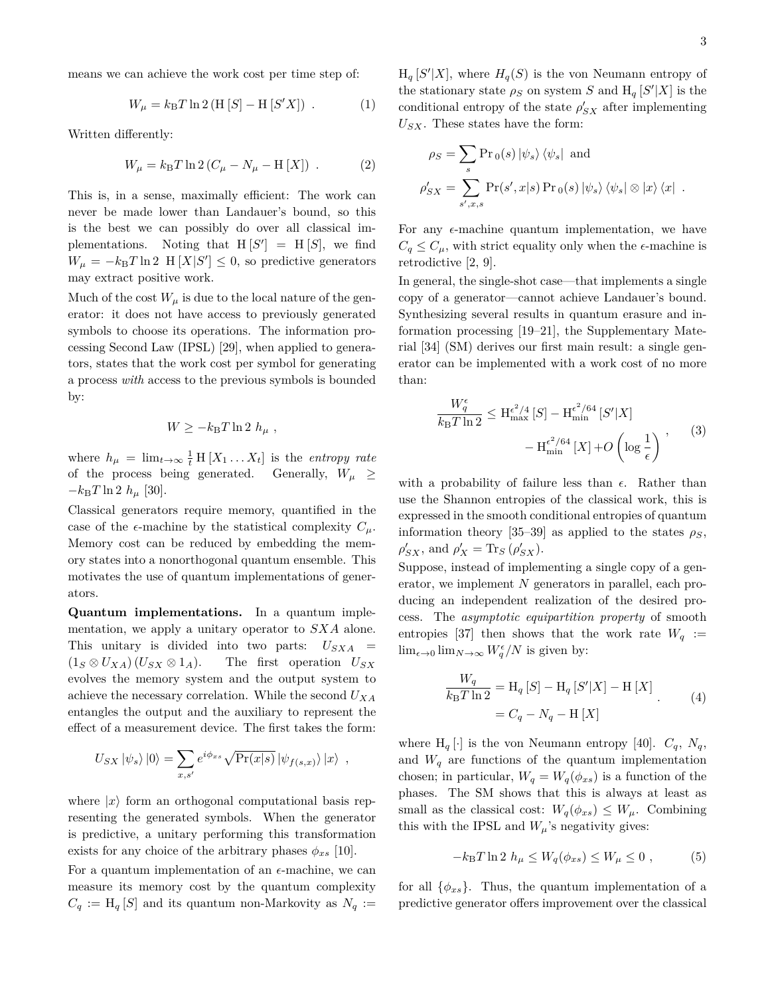means we can achieve the work cost per time step of:

$$
W_{\mu} = k_{\rm B} T \ln 2 (H [S] - H [S'X]) . \qquad (1)
$$

Written differently:

$$
W_{\mu} = k_{\rm B} T \ln 2 (C_{\mu} - N_{\mu} - H [X]) . \qquad (2)
$$

This is, in a sense, maximally efficient: The work can never be made lower than Landauer's bound, so this is the best we can possibly do over all classical implementations. Noting that  $H[S'] = H[S]$ , we find  $W_{\mu} = -k_B T \ln 2$  H  $[X|S'] \leq 0$ , so predictive generators may extract positive work.

Much of the cost  $W_{\mu}$  is due to the local nature of the generator: it does not have access to previously generated symbols to choose its operations. The information processing Second Law (IPSL) [29], when applied to generators, states that the work cost per symbol for generating a process *with* access to the previous symbols is bounded by:

$$
W \ge -k_{\rm B}T\ln 2 h_{\mu} ,
$$

where  $h_{\mu} = \lim_{t \to \infty} \frac{1}{t} \mathbb{H} [X_1 \dots X_t]$  is the *entropy rate* of the process being generated. Generally,  $W_\mu \geq$  $-k_BT \ln 2 h_\mu$  [30].

Classical generators require memory, quantified in the case of the  $\epsilon$ -machine by the statistical complexity  $C_\mu$ . Memory cost can be reduced by embedding the memory states into a nonorthogonal quantum ensemble. This motivates the use of quantum implementations of generators.

**Quantum implementations.** In a quantum implementation, we apply a unitary operator to *SXA* alone. This unitary is divided into two parts:  $U_{SXA}$  =  $(1_S \otimes U_{XA}) (U_{SX} \otimes 1_A)$ . The first operation  $U_{SX}$ evolves the memory system and the output system to achieve the necessary correlation. While the second *UXA* entangles the output and the auxiliary to represent the effect of a measurement device. The first takes the form:

$$
U_{SX} |\psi_s\rangle |0\rangle = \sum_{x,s'} e^{i\phi_{xs}} \sqrt{\Pr(x|s)} |\psi_{f(s,x)}\rangle |x\rangle ,
$$

where  $|x\rangle$  form an orthogonal computational basis representing the generated symbols. When the generator is predictive, a unitary performing this transformation exists for any choice of the arbitrary phases  $\phi_{xs}$  [10].

For a quantum implementation of an  $\epsilon$ -machine, we can measure its memory cost by the quantum complexity  $C_q := H_q[S]$  and its quantum non-Markovity as  $N_q :=$ 

 $H_q[S'|X]$ , where  $H_q(S)$  is the von Neumann entropy of the stationary state  $\rho_S$  on system *S* and  $H_q[S'|X]$  is the conditional entropy of the state  $\rho'_{SX}$  after implementing *USX*. These states have the form:

$$
\rho_S = \sum_s \Pr_0(s) |\psi_s\rangle \langle \psi_s| \text{ and}
$$

$$
\rho'_{SX} = \sum_{s',x,s} \Pr(s',x|s) \Pr_0(s) |\psi_s\rangle \langle \psi_s| \otimes |x\rangle \langle x|.
$$

For any  $\epsilon$ -machine quantum implementation, we have  $C_q \leq C_\mu$ , with strict equality only when the  $\epsilon$ -machine is retrodictive [2, 9].

In general, the single-shot case—that implements a single copy of a generator—cannot achieve Landauer's bound. Synthesizing several results in quantum erasure and information processing [19–21], the Supplementary Material [34] (SM) derives our first main result: a single generator can be implemented with a work cost of no more than:

$$
\frac{W_q^{\epsilon}}{k_{\text{B}}T\ln 2} \le \mathcal{H}_{\text{max}}^{\epsilon^2/4} [S] - \mathcal{H}_{\text{min}}^{\epsilon^2/64} [S'|X] - \mathcal{H}_{\text{min}}^{\epsilon^2/64} [X] + O\left(\log \frac{1}{\epsilon}\right) \,, \tag{3}
$$

with a probability of failure less than  $\epsilon$ . Rather than use the Shannon entropies of the classical work, this is expressed in the smooth conditional entropies of quantum information theory [35–39] as applied to the states  $\rho_S$ ,  $\rho'_{SX}$ , and  $\rho'_{X} = \text{Tr}_{S} (\rho'_{SX})$ .

Suppose, instead of implementing a single copy of a generator, we implement *N* generators in parallel, each producing an independent realization of the desired process. The *asymptotic equipartition property* of smooth entropies [37] then shows that the work rate  $W_q$  :=  $\lim_{\epsilon \to 0} \lim_{N \to \infty} W_q^{\epsilon}/N$  is given by:

$$
\frac{W_q}{k_B T \ln 2} = \mathcal{H}_q \left[ S \right] - \mathcal{H}_q \left[ S' | X \right] - \mathcal{H} \left[ X \right] = C_q - N_q - \mathcal{H} \left[ X \right] \tag{4}
$$

where  $H_q[\cdot]$  is the von Neumann entropy [40].  $C_q$ ,  $N_q$ , and  $W_q$  are functions of the quantum implementation chosen; in particular,  $W_q = W_q(\phi_{xs})$  is a function of the phases. The SM shows that this is always at least as small as the classical cost:  $W_q(\phi_{xs}) \leq W_\mu$ . Combining this with the IPSL and  $W_\mu$ 's negativity gives:

$$
-k_{\rm B}T\ln 2 h_{\mu} \le W_q(\phi_{xs}) \le W_{\mu} \le 0 , \qquad (5)
$$

for all  $\{\phi_{xs}\}.$  Thus, the quantum implementation of a predictive generator offers improvement over the classical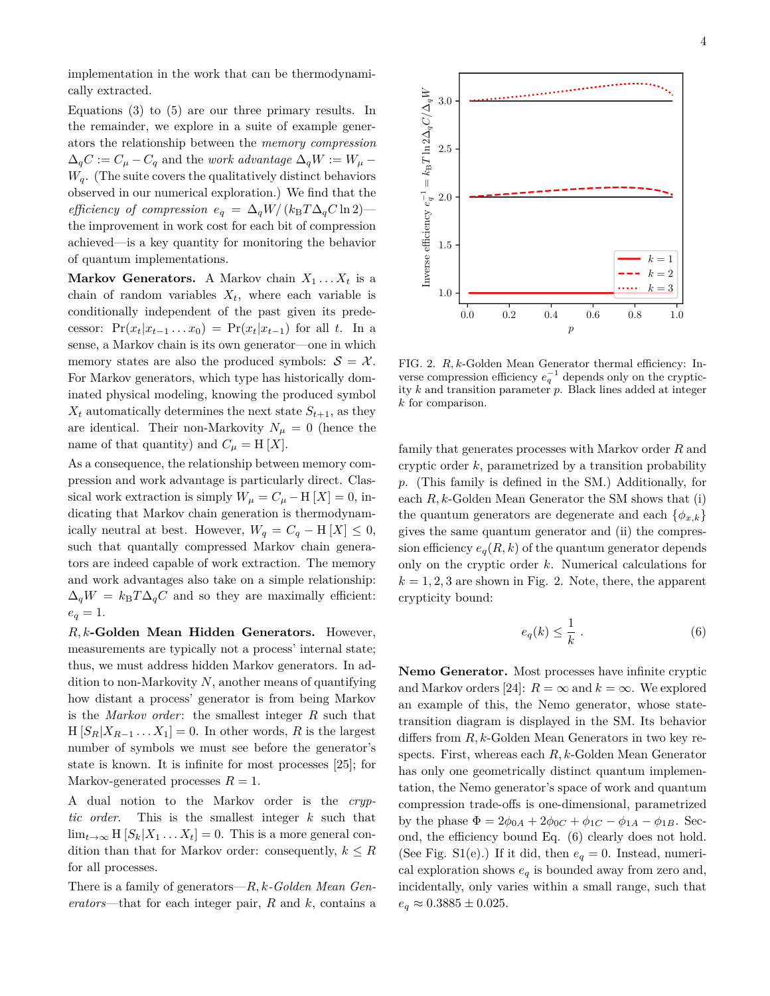implementation in the work that can be thermodynamically extracted.

Equations (3) to (5) are our three primary results. In the remainder, we explore in a suite of example generators the relationship between the *memory compression*  $\Delta_q C := C_\mu - C_q$  and the *work advantage*  $\Delta_q W := W_\mu - Q$  $W_q$ . (The suite covers the qualitatively distinct behaviors observed in our numerical exploration.) We find that the *efficiency of compression*  $e_q = \Delta_q W / (k_B T \Delta_q C \ln 2)$  the improvement in work cost for each bit of compression achieved—is a key quantity for monitoring the behavior of quantum implementations.

**Markov Generators.** A Markov chain  $X_1 \ldots X_t$  is a chain of random variables  $X_t$ , where each variable is conditionally independent of the past given its predecessor:  $Pr(x_t|x_{t-1}...x_0) = Pr(x_t|x_{t-1})$  for all *t*. In a sense, a Markov chain is its own generator—one in which memory states are also the produced symbols:  $S = \mathcal{X}$ . For Markov generators, which type has historically dominated physical modeling, knowing the produced symbol  $X_t$  automatically determines the next state  $S_{t+1}$ , as they are identical. Their non-Markovity  $N_{\mu} = 0$  (hence the name of that quantity) and  $C_{\mu} = H[X]$ .

As a consequence, the relationship between memory compression and work advantage is particularly direct. Classical work extraction is simply  $W_{\mu} = C_{\mu} - H[X] = 0$ , indicating that Markov chain generation is thermodynamically neutral at best. However,  $W_q = C_q - H[X] \leq 0$ , such that quantally compressed Markov chain generators are indeed capable of work extraction. The memory and work advantages also take on a simple relationship:  $\Delta_q W = k_B T \Delta_q C$  and so they are maximally efficient:  $e_q = 1.$ 

*R, k***-Golden Mean Hidden Generators.** However, measurements are typically not a process' internal state; thus, we must address hidden Markov generators. In addition to non-Markovity *N*, another means of quantifying how distant a process' generator is from being Markov is the *Markov order*: the smallest integer *R* such that  $H[S_R|X_{R-1} \dots X_1] = 0$ . In other words, *R* is the largest number of symbols we must see before the generator's state is known. It is infinite for most processes [25]; for Markov-generated processes  $R = 1$ .

A dual notion to the Markov order is the *cryptic order*. This is the smallest integer *k* such that  $\lim_{t\to\infty}$  H  $[S_k|X_1 \dots X_t] = 0$ . This is a more general condition than that for Markov order: consequently,  $k \leq R$ for all processes.

There is a family of generators—*R, k-Golden Mean Generators*—that for each integer pair, *R* and *k*, contains a

 $k=1$  $k = 2$  $k = 3$ 

44

4

FIG. 2. *R, k*-Golden Mean Generator thermal efficiency: Inverse compression efficiency  $e_q^{-1}$  depends only on the crypticity *k* and transition parameter *p*. Black lines added at integer *k* for comparison.

1.0

1.5

Inverse efficiency  $e_q^{-1}$ 

2.0

2.5

 $q^{-1} = k_{\rm B} T \ln 2 \Delta_q C / \Delta_q$ 

 $\cancel{\varepsilon}^P$ 

3.0

0.0 0.2 0.4 0.6 0.8 1.0 p

family that generates processes with Markov order *R* and cryptic order *k*, parametrized by a transition probability *p*. (This family is defined in the SM.) Additionally, for each *R, k*-Golden Mean Generator the SM shows that (i) the quantum generators are degenerate and each  $\{\phi_{x,k}\}\$ gives the same quantum generator and (ii) the compression efficiency  $e_q(R, k)$  of the quantum generator depends only on the cryptic order *k*. Numerical calculations for  $k = 1, 2, 3$  are shown in Fig. 2. Note, there, the apparent crypticity bound:

$$
e_q(k) \le \frac{1}{k} \ . \tag{6}
$$

**Nemo Generator.** Most processes have infinite cryptic and Markov orders [24]:  $R = \infty$  and  $k = \infty$ . We explored an example of this, the Nemo generator, whose statetransition diagram is displayed in the SM. Its behavior differs from *R, k*-Golden Mean Generators in two key respects. First, whereas each *R, k*-Golden Mean Generator has only one geometrically distinct quantum implementation, the Nemo generator's space of work and quantum compression trade-offs is one-dimensional, parametrized by the phase  $\Phi = 2\phi_{0A} + 2\phi_{0C} + \phi_{1C} - \phi_{1A} - \phi_{1B}$ . Second, the efficiency bound Eq. (6) clearly does not hold. (See Fig. S1(e).) If it did, then  $e_q = 0$ . Instead, numerical exploration shows  $e_q$  is bounded away from zero and, incidentally, only varies within a small range, such that  $e_q \approx 0.3885 \pm 0.025$ .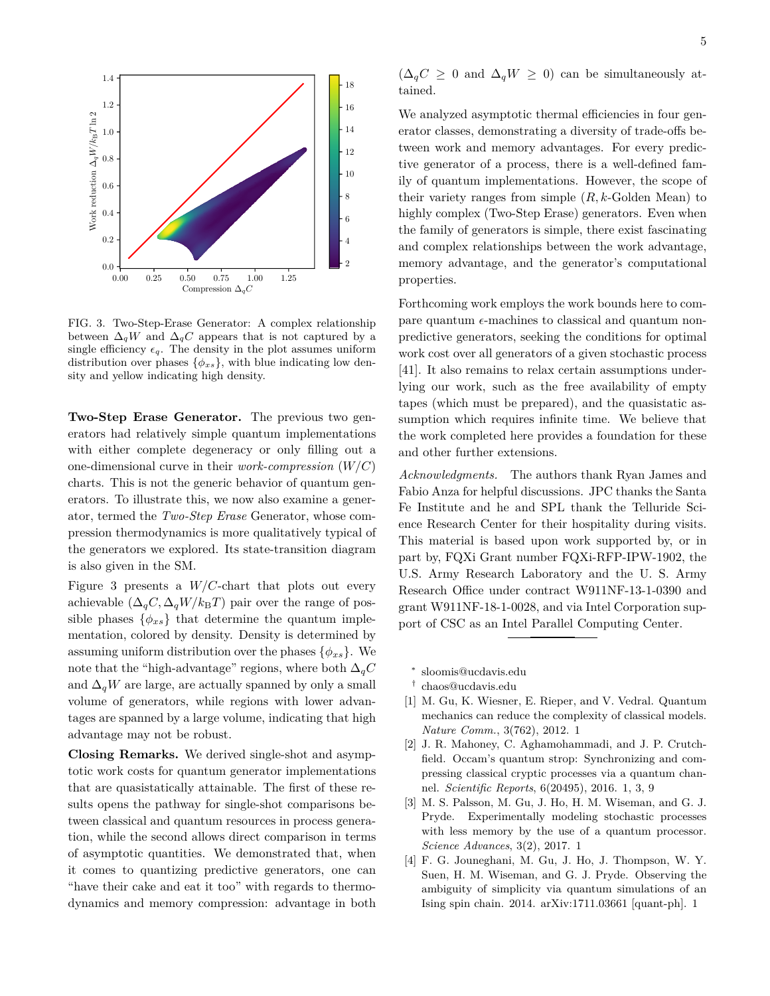

FIG. 3. Two-Step-Erase Generator: A complex relationship between  $\Delta_q W$  and  $\Delta_q C$  appears that is not captured by a single efficiency  $\epsilon_q$ . The density in the plot assumes uniform distribution over phases  $\{\phi_{xs}\}\$ , with blue indicating low density and yellow indicating high density.

**Two-Step Erase Generator.** The previous two generators had relatively simple quantum implementations with either complete degeneracy or only filling out a one-dimensional curve in their *work-compression* (*W/C*) charts. This is not the generic behavior of quantum generators. To illustrate this, we now also examine a generator, termed the *Two-Step Erase* Generator, whose compression thermodynamics is more qualitatively typical of the generators we explored. Its state-transition diagram is also given in the SM.

Figure 3 presents a *W/C*-chart that plots out every achievable  $(\Delta_q C, \Delta_q W / k_B T)$  pair over the range of possible phases  $\{\phi_{xs}\}\$  that determine the quantum implementation, colored by density. Density is determined by assuming uniform distribution over the phases  $\{\phi_{xs}\}\$ . We note that the "high-advantage" regions, where both  $\Delta_qC$ and  $\Delta_q W$  are large, are actually spanned by only a small volume of generators, while regions with lower advantages are spanned by a large volume, indicating that high advantage may not be robust.

**Closing Remarks.** We derived single-shot and asymptotic work costs for quantum generator implementations that are quasistatically attainable. The first of these results opens the pathway for single-shot comparisons between classical and quantum resources in process generation, while the second allows direct comparison in terms of asymptotic quantities. We demonstrated that, when it comes to quantizing predictive generators, one can "have their cake and eat it too" with regards to thermodynamics and memory compression: advantage in both  $(\Delta_q C \geq 0 \text{ and } \Delta_q W \geq 0)$  can be simultaneously attained.

We analyzed asymptotic thermal efficiencies in four generator classes, demonstrating a diversity of trade-offs between work and memory advantages. For every predictive generator of a process, there is a well-defined family of quantum implementations. However, the scope of their variety ranges from simple (*R, k*-Golden Mean) to highly complex (Two-Step Erase) generators. Even when the family of generators is simple, there exist fascinating and complex relationships between the work advantage, memory advantage, and the generator's computational properties.

Forthcoming work employs the work bounds here to compare quantum  $\epsilon$ -machines to classical and quantum nonpredictive generators, seeking the conditions for optimal work cost over all generators of a given stochastic process [41]. It also remains to relax certain assumptions underlying our work, such as the free availability of empty tapes (which must be prepared), and the quasistatic assumption which requires infinite time. We believe that the work completed here provides a foundation for these and other further extensions.

*Acknowledgments.* The authors thank Ryan James and Fabio Anza for helpful discussions. JPC thanks the Santa Fe Institute and he and SPL thank the Telluride Science Research Center for their hospitality during visits. This material is based upon work supported by, or in part by, FQXi Grant number FQXi-RFP-IPW-1902, the U.S. Army Research Laboratory and the U. S. Army Research Office under contract W911NF-13-1-0390 and grant W911NF-18-1-0028, and via Intel Corporation support of CSC as an Intel Parallel Computing Center.

- ∗ sloomis@ucdavis.edu
- † chaos@ucdavis.edu
- [1] M. Gu, K. Wiesner, E. Rieper, and V. Vedral. Quantum mechanics can reduce the complexity of classical models. *Nature Comm.*, 3(762), 2012. 1
- [2] J. R. Mahoney, C. Aghamohammadi, and J. P. Crutchfield. Occam's quantum strop: Synchronizing and compressing classical cryptic processes via a quantum channel. *Scientific Reports*, 6(20495), 2016. 1, 3, 9
- [3] M. S. Palsson, M. Gu, J. Ho, H. M. Wiseman, and G. J. Pryde. Experimentally modeling stochastic processes with less memory by the use of a quantum processor. *Science Advances*, 3(2), 2017. 1
- [4] F. G. Jouneghani, M. Gu, J. Ho, J. Thompson, W. Y. Suen, H. M. Wiseman, and G. J. Pryde. Observing the ambiguity of simplicity via quantum simulations of an Ising spin chain. 2014. arXiv:1711.03661 [quant-ph]. 1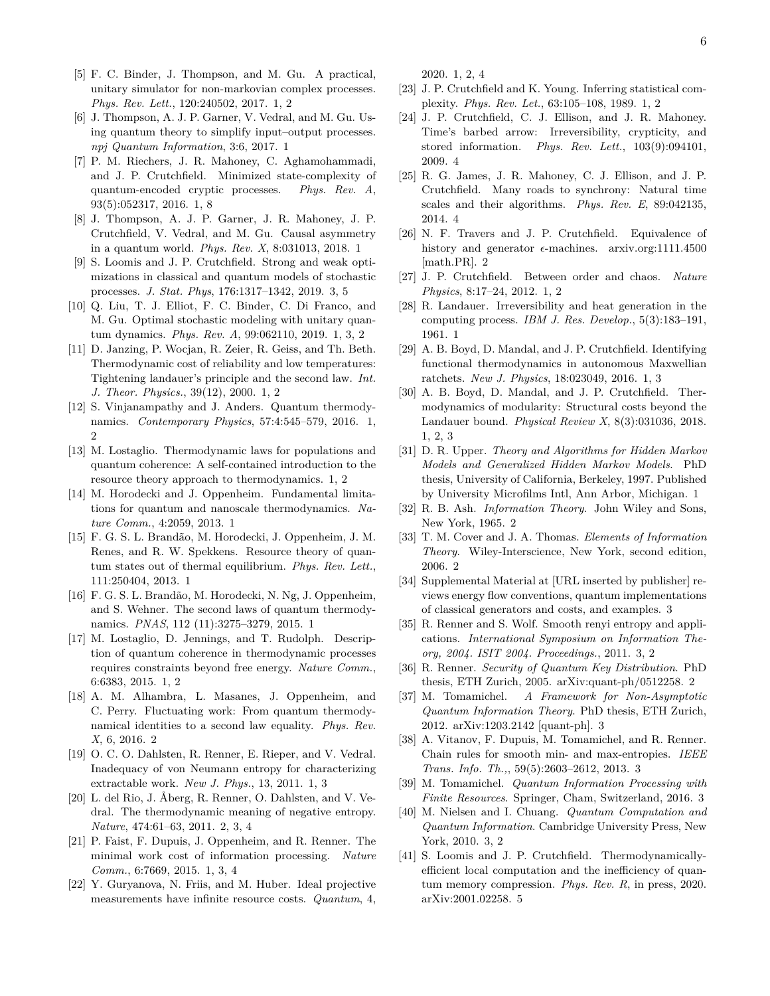- [5] F. C. Binder, J. Thompson, and M. Gu. A practical, unitary simulator for non-markovian complex processes. *Phys. Rev. Lett.*, 120:240502, 2017. 1, 2
- [6] J. Thompson, A. J. P. Garner, V. Vedral, and M. Gu. Using quantum theory to simplify input–output processes. *npj Quantum Information*, 3:6, 2017. 1
- [7] P. M. Riechers, J. R. Mahoney, C. Aghamohammadi, and J. P. Crutchfield. Minimized state-complexity of quantum-encoded cryptic processes. *Phys. Rev. A*, 93(5):052317, 2016. 1, 8
- [8] J. Thompson, A. J. P. Garner, J. R. Mahoney, J. P. Crutchfield, V. Vedral, and M. Gu. Causal asymmetry in a quantum world. *Phys. Rev. X*, 8:031013, 2018. 1
- [9] S. Loomis and J. P. Crutchfield. Strong and weak optimizations in classical and quantum models of stochastic processes. *J. Stat. Phys*, 176:1317–1342, 2019. 3, 5
- [10] Q. Liu, T. J. Elliot, F. C. Binder, C. Di Franco, and M. Gu. Optimal stochastic modeling with unitary quantum dynamics. *Phys. Rev. A*, 99:062110, 2019. 1, 3, 2
- [11] D. Janzing, P. Wocjan, R. Zeier, R. Geiss, and Th. Beth. Thermodynamic cost of reliability and low temperatures: Tightening landauer's principle and the second law. *Int. J. Theor. Physics.*, 39(12), 2000. 1, 2
- [12] S. Vinjanampathy and J. Anders. Quantum thermodynamics. *Contemporary Physics*, 57:4:545–579, 2016. 1,  $\mathfrak{g}$
- [13] M. Lostaglio. Thermodynamic laws for populations and quantum coherence: A self-contained introduction to the resource theory approach to thermodynamics. 1, 2
- [14] M. Horodecki and J. Oppenheim. Fundamental limitations for quantum and nanoscale thermodynamics. *Nature Comm.*, 4:2059, 2013. 1
- [15] F. G. S. L. Brandão, M. Horodecki, J. Oppenheim, J. M. Renes, and R. W. Spekkens. Resource theory of quantum states out of thermal equilibrium. *Phys. Rev. Lett.*, 111:250404, 2013. 1
- [16] F. G. S. L. Brandão, M. Horodecki, N. Ng, J. Oppenheim, and S. Wehner. The second laws of quantum thermodynamics. *PNAS*, 112 (11):3275–3279, 2015. 1
- [17] M. Lostaglio, D. Jennings, and T. Rudolph. Description of quantum coherence in thermodynamic processes requires constraints beyond free energy. *Nature Comm.*, 6:6383, 2015. 1, 2
- [18] A. M. Alhambra, L. Masanes, J. Oppenheim, and C. Perry. Fluctuating work: From quantum thermodynamical identities to a second law equality. *Phys. Rev. X*, 6, 2016. 2
- [19] O. C. O. Dahlsten, R. Renner, E. Rieper, and V. Vedral. Inadequacy of von Neumann entropy for characterizing extractable work. *New J. Phys.*, 13, 2011. 1, 3
- [20] L. del Rio, J. Åberg, R. Renner, O. Dahlsten, and V. Vedral. The thermodynamic meaning of negative entropy. *Nature*, 474:61–63, 2011. 2, 3, 4
- [21] P. Faist, F. Dupuis, J. Oppenheim, and R. Renner. The minimal work cost of information processing. *Nature Comm.*, 6:7669, 2015. 1, 3, 4
- [22] Y. Guryanova, N. Friis, and M. Huber. Ideal projective measurements have infinite resource costs. *Quantum*, 4,

2020. 1, 2, 4

- [23] J. P. Crutchfield and K. Young. Inferring statistical complexity. *Phys. Rev. Let.*, 63:105–108, 1989. 1, 2
- [24] J. P. Crutchfield, C. J. Ellison, and J. R. Mahoney. Time's barbed arrow: Irreversibility, crypticity, and stored information. *Phys. Rev. Lett.*, 103(9):094101, 2009. 4
- [25] R. G. James, J. R. Mahoney, C. J. Ellison, and J. P. Crutchfield. Many roads to synchrony: Natural time scales and their algorithms. *Phys. Rev. E*, 89:042135, 2014. 4
- [26] N. F. Travers and J. P. Crutchfield. Equivalence of history and generator  $\epsilon$ -machines. arxiv.org:1111.4500 [math.PR]. 2
- [27] J. P. Crutchfield. Between order and chaos. *Nature Physics*, 8:17–24, 2012. 1, 2
- [28] R. Landauer. Irreversibility and heat generation in the computing process. *IBM J. Res. Develop.*, 5(3):183–191, 1961. 1
- [29] A. B. Boyd, D. Mandal, and J. P. Crutchfield. Identifying functional thermodynamics in autonomous Maxwellian ratchets. *New J. Physics*, 18:023049, 2016. 1, 3
- [30] A. B. Boyd, D. Mandal, and J. P. Crutchfield. Thermodynamics of modularity: Structural costs beyond the Landauer bound. *Physical Review X*, 8(3):031036, 2018. 1, 2, 3
- [31] D. R. Upper. *Theory and Algorithms for Hidden Markov Models and Generalized Hidden Markov Models*. PhD thesis, University of California, Berkeley, 1997. Published by University Microfilms Intl, Ann Arbor, Michigan. 1
- [32] R. B. Ash. *Information Theory*. John Wiley and Sons, New York, 1965. 2
- [33] T. M. Cover and J. A. Thomas. *Elements of Information Theory*. Wiley-Interscience, New York, second edition, 2006. 2
- [34] Supplemental Material at [URL inserted by publisher] reviews energy flow conventions, quantum implementations of classical generators and costs, and examples. 3
- [35] R. Renner and S. Wolf. Smooth renyi entropy and applications. *International Symposium on Information Theory, 2004. ISIT 2004. Proceedings.*, 2011. 3, 2
- [36] R. Renner. *Security of Quantum Key Distribution*. PhD thesis, ETH Zurich, 2005. arXiv:quant-ph/0512258. 2
- [37] M. Tomamichel. *A Framework for Non-Asymptotic Quantum Information Theory*. PhD thesis, ETH Zurich, 2012. arXiv:1203.2142 [quant-ph]. 3
- [38] A. Vitanov, F. Dupuis, M. Tomamichel, and R. Renner. Chain rules for smooth min- and max-entropies. *IEEE Trans. Info. Th.,*, 59(5):2603–2612, 2013. 3
- [39] M. Tomamichel. *Quantum Information Processing with Finite Resources*. Springer, Cham, Switzerland, 2016. 3
- [40] M. Nielsen and I. Chuang. *Quantum Computation and Quantum Information*. Cambridge University Press, New York, 2010. 3, 2
- [41] S. Loomis and J. P. Crutchfield. Thermodynamicallyefficient local computation and the inefficiency of quantum memory compression. *Phys. Rev. R*, in press, 2020. arXiv:2001.02258. 5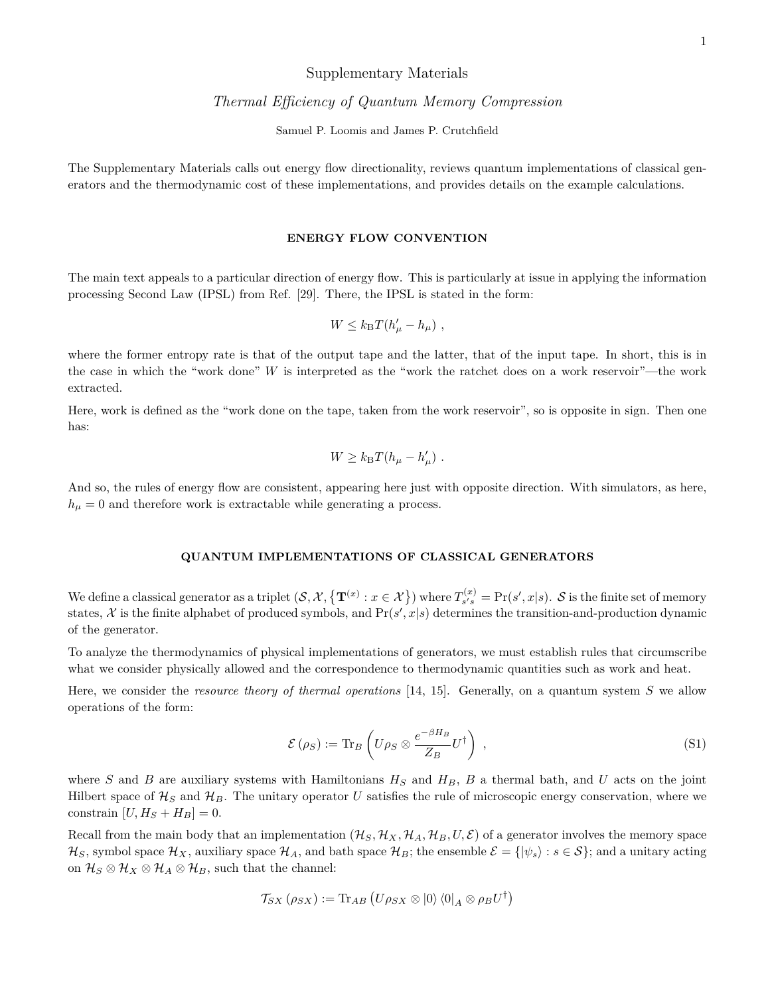## Supplementary Materials

# *Thermal Efficiency of Quantum Memory Compression*

Samuel P. Loomis and James P. Crutchfield

The Supplementary Materials calls out energy flow directionality, reviews quantum implementations of classical generators and the thermodynamic cost of these implementations, and provides details on the example calculations.

### **ENERGY FLOW CONVENTION**

The main text appeals to a particular direction of energy flow. This is particularly at issue in applying the information processing Second Law (IPSL) from Ref. [29]. There, the IPSL is stated in the form:

$$
W \leq k_{\rm B} T (h'_\mu - h_\mu) ,
$$

where the former entropy rate is that of the output tape and the latter, that of the input tape. In short, this is in the case in which the "work done" *W* is interpreted as the "work the ratchet does on a work reservoir"—the work extracted.

Here, work is defined as the "work done on the tape, taken from the work reservoir", so is opposite in sign. Then one has:

$$
W \geq k_{\rm B} T (h_\mu - h'_\mu) \ .
$$

And so, the rules of energy flow are consistent, appearing here just with opposite direction. With simulators, as here,  $h_{\mu} = 0$  and therefore work is extractable while generating a process.

#### **QUANTUM IMPLEMENTATIONS OF CLASSICAL GENERATORS**

We define a classical generator as a triplet  $(S, \mathcal{X}, \{ \mathbf{T}^{(x)} : x \in \mathcal{X} \})$  where  $T_{s's}^{(x)}$  $S_{s's}^{(x)} = \Pr(s', x|s)$ . S is the finite set of memory states,  $\mathcal X$  is the finite alphabet of produced symbols, and  $Pr(s', x|s)$  determines the transition-and-production dynamic of the generator.

To analyze the thermodynamics of physical implementations of generators, we must establish rules that circumscribe what we consider physically allowed and the correspondence to thermodynamic quantities such as work and heat.

Here, we consider the *resource theory of thermal operations* [14, 15]. Generally, on a quantum system *S* we allow operations of the form:

$$
\mathcal{E}(\rho_S) := \text{Tr}_B \left( U \rho_S \otimes \frac{e^{-\beta H_B}}{Z_B} U^{\dagger} \right) , \qquad (S1)
$$

where *S* and *B* are auxiliary systems with Hamiltonians  $H_S$  and  $H_B$ , *B* a thermal bath, and *U* acts on the joint Hilbert space of  $\mathcal{H}_S$  and  $\mathcal{H}_B$ . The unitary operator U satisfies the rule of microscopic energy conservation, where we constrain  $[U, H<sub>S</sub> + H<sub>B</sub>] = 0.$ 

Recall from the main body that an implementation  $(\mathcal{H}_S, \mathcal{H}_X, \mathcal{H}_A, \mathcal{H}_B, U, \mathcal{E})$  of a generator involves the memory space  $\mathcal{H}_S$ , symbol space  $\mathcal{H}_X$ , auxiliary space  $\mathcal{H}_A$ , and bath space  $\mathcal{H}_B$ ; the ensemble  $\mathcal{E} = \{ |\psi_s \rangle : s \in \mathcal{S} \}$ ; and a unitary acting on  $\mathcal{H}_S \otimes \mathcal{H}_X \otimes \mathcal{H}_A \otimes \mathcal{H}_B$ , such that the channel:

$$
\mathcal{T}_{SX}\left(\rho_{SX}\right):=\text{Tr}_{AB}\left(U\rho_{SX}\otimes\ket{0}\bra{0}_{A}\otimes\rho_{B}U^{\dagger}\right)
$$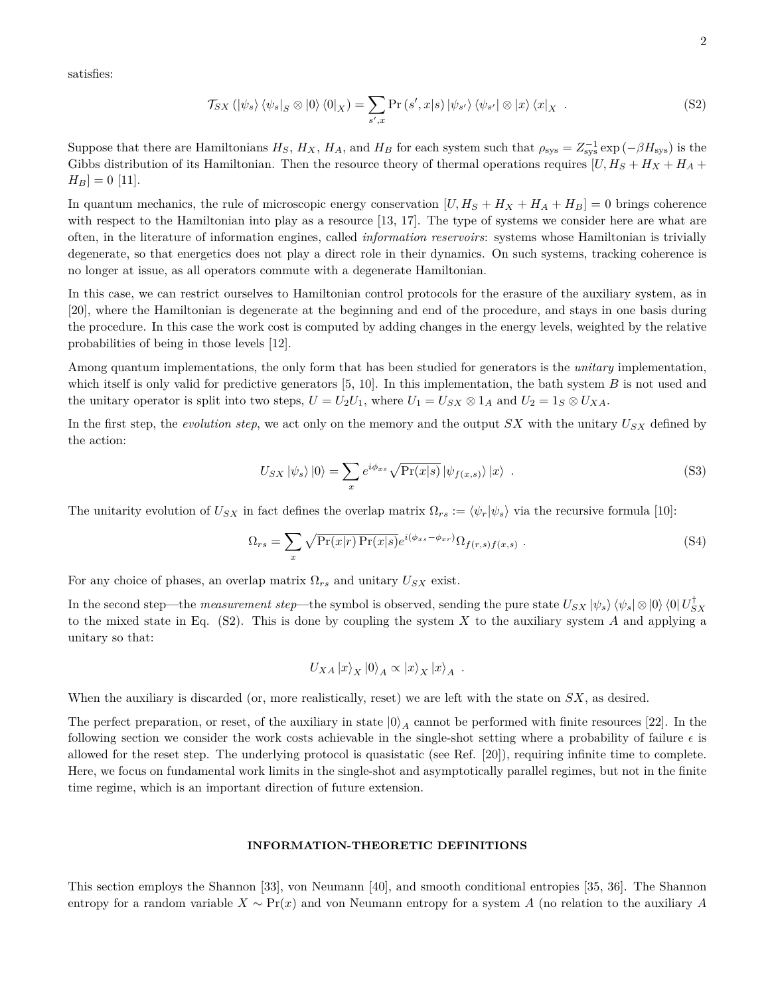satisfies:

$$
\mathcal{T}_{SX} (\left|\psi_s\right\rangle \left\langle \psi_s\right|_S \otimes \left|0\right\rangle \left\langle 0\right|_X) = \sum_{s',x} \Pr\left(s',x|s\right) \left|\psi_{s'}\right\rangle \left\langle \psi_{s'}\right| \otimes \left|x\right\rangle \left\langle x\right|_X \tag{S2}
$$

Suppose that there are Hamiltonians  $H_S$ ,  $H_X$ ,  $H_A$ , and  $H_B$  for each system such that  $\rho_{sys} = Z_{sys}^{-1} \exp(-\beta H_{sys})$  is the Gibbs distribution of its Hamiltonian. Then the resource theory of thermal operations requires  $[U, H<sub>S</sub> + H<sub>X</sub> + H<sub>A</sub> +$  $H_B$  = 0 [11].

In quantum mechanics, the rule of microscopic energy conservation  $[U, H_S + H_X + H_A + H_B] = 0$  brings coherence with respect to the Hamiltonian into play as a resource [13, 17]. The type of systems we consider here are what are often, in the literature of information engines, called *information reservoirs*: systems whose Hamiltonian is trivially degenerate, so that energetics does not play a direct role in their dynamics. On such systems, tracking coherence is no longer at issue, as all operators commute with a degenerate Hamiltonian.

In this case, we can restrict ourselves to Hamiltonian control protocols for the erasure of the auxiliary system, as in [20], where the Hamiltonian is degenerate at the beginning and end of the procedure, and stays in one basis during the procedure. In this case the work cost is computed by adding changes in the energy levels, weighted by the relative probabilities of being in those levels [12].

Among quantum implementations, the only form that has been studied for generators is the *unitary* implementation, which itself is only valid for predictive generators [5, 10]. In this implementation, the bath system *B* is not used and the unitary operator is split into two steps,  $U = U_2U_1$ , where  $U_1 = U_{SX} \otimes 1_A$  and  $U_2 = 1_S \otimes U_{XA}$ .

In the first step, the *evolution step*, we act only on the memory and the output  $SX$  with the unitary  $U_{SX}$  defined by the action:

$$
U_{SX} |\psi_s\rangle |0\rangle = \sum_{x} e^{i\phi_{xs}} \sqrt{\Pr(x|s)} |\psi_{f(x,s)}\rangle |x\rangle . \tag{S3}
$$

The unitarity evolution of  $U_{SX}$  in fact defines the overlap matrix  $\Omega_{rs} := \langle \psi_r | \psi_s \rangle$  via the recursive formula [10]:

$$
\Omega_{rs} = \sum_{x} \sqrt{\Pr(x|r) \Pr(x|s)} e^{i(\phi_{xs} - \phi_{xr})} \Omega_{f(r,s)f(x,s)} . \tag{S4}
$$

For any choice of phases, an overlap matrix  $\Omega_{rs}$  and unitary  $U_{SX}$  exist.

In the second step—the *measurement step*—the symbol is observed, sending the pure state  $U_{SX} |\psi_s\rangle \langle \psi_s | \otimes |0\rangle \langle 0| U_{SX}^{\dagger}$ to the mixed state in Eq. (S2). This is done by coupling the system *X* to the auxiliary system *A* and applying a unitary so that:

$$
U_{XA}\left\vert x\right\rangle _{X}\left\vert 0\right\rangle _{A}\propto \left\vert x\right\rangle _{X}\left\vert x\right\rangle _{A}\ .
$$

When the auxiliary is discarded (or, more realistically, reset) we are left with the state on *SX*, as desired.

The perfect preparation, or reset, of the auxiliary in state  $|0\rangle_A$  cannot be performed with finite resources [22]. In the following section we consider the work costs achievable in the single-shot setting where a probability of failure  $\epsilon$  is allowed for the reset step. The underlying protocol is quasistatic (see Ref. [20]), requiring infinite time to complete. Here, we focus on fundamental work limits in the single-shot and asymptotically parallel regimes, but not in the finite time regime, which is an important direction of future extension.

#### **INFORMATION-THEORETIC DEFINITIONS**

This section employs the Shannon [33], von Neumann [40], and smooth conditional entropies [35, 36]. The Shannon entropy for a random variable *X* ∼ Pr(*x*) and von Neumann entropy for a system *A* (no relation to the auxiliary *A*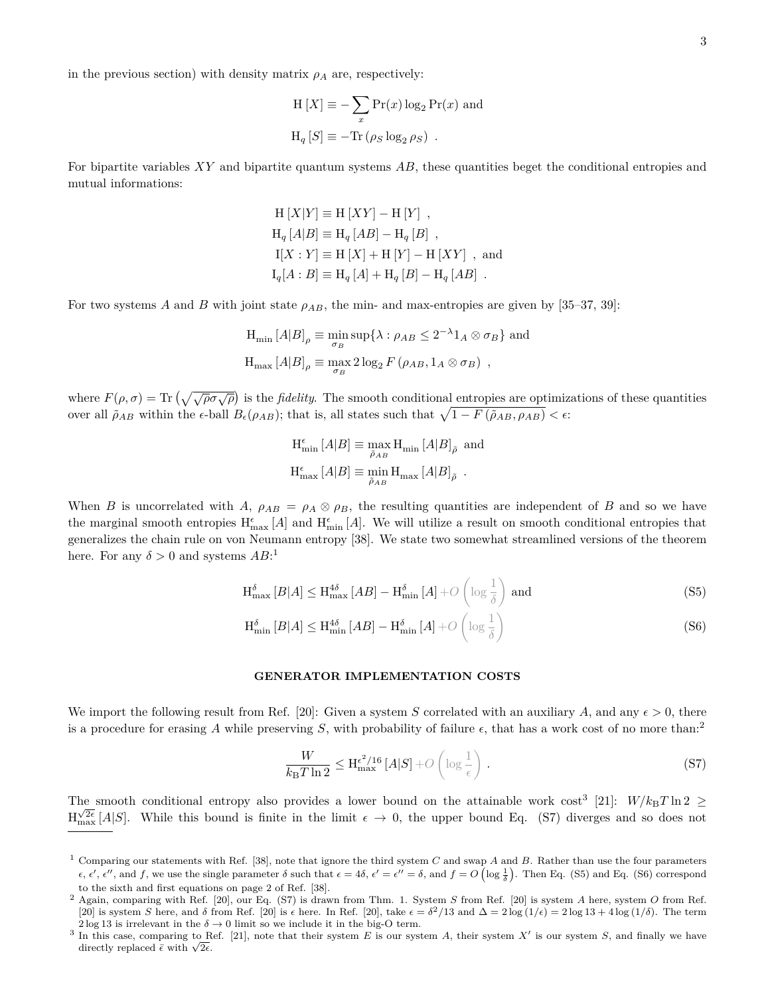in the previous section) with density matrix  $\rho_A$  are, respectively:

$$
H[X] \equiv -\sum_{x} Pr(x) \log_2 Pr(x)
$$
 and  

$$
H_q[S] \equiv -Tr(\rho_S \log_2 \rho_S) .
$$

For bipartite variables *XY* and bipartite quantum systems *AB*, these quantities beget the conditional entropies and mutual informations:

$$
H [X|Y] \equiv H [XY] - H [Y],
$$
  
\n
$$
H_q [A|B] \equiv H_q [AB] - H_q [B],
$$
  
\n
$$
I[X:Y] \equiv H [X] + H [Y] - H [XY],
$$
 and  
\n
$$
I_q[A:B] \equiv H_q [A] + H_q [B] - H_q [AB].
$$

For two systems *A* and *B* with joint state  $\rho_{AB}$ , the min- and max-entropies are given by [35–37, 39]:

$$
H_{\min}[A|B]_{\rho} \equiv \min_{\sigma_B} \sup \{ \lambda : \rho_{AB} \le 2^{-\lambda} 1_A \otimes \sigma_B \} \text{ and}
$$
  

$$
H_{\max}[A|B]_{\rho} \equiv \max_{\sigma_B} 2 \log_2 F(\rho_{AB}, 1_A \otimes \sigma_B) ,
$$

where  $F(\rho, \sigma) = \text{Tr} \left( \sqrt{\sqrt{\rho} \sigma \sqrt{\rho}} \right)$  is the *fidelity*. The smooth conditional entropies are optimizations of these quantities over all  $\tilde{\rho}_{AB}$  within the  $\epsilon$ -ball  $B_{\epsilon}(\rho_{AB})$ ; that is, all states such that  $\sqrt{1 - F(\tilde{\rho}_{AB}, \rho_{AB})} < \epsilon$ .

$$
\begin{split} \mathrm{H}^\epsilon_{\mathrm{min}}\left[A|B\right] & \equiv \max_{\tilde{\rho}_{AB}} \mathrm{H}_{\mathrm{min}}\left[A|B\right]_{\tilde{\rho}} \ \mathrm{and} \\ \mathrm{H}^\epsilon_{\mathrm{max}}\left[A|B\right] & \equiv \min_{\tilde{\rho}_{AB}} \mathrm{H}_{\mathrm{max}}\left[A|B\right]_{\tilde{\rho}} \ . \end{split}
$$

When *B* is uncorrelated with *A*,  $\rho_{AB} = \rho_A \otimes \rho_B$ , the resulting quantities are independent of *B* and so we have the marginal smooth entropies  $H_{\text{max}}^{\epsilon}[A]$  and  $H_{\text{min}}^{\epsilon}[A]$ . We will utilize a result on smooth conditional entropies that generalizes the chain rule on von Neumann entropy [38]. We state two somewhat streamlined versions of the theorem here. For any  $\delta > 0$  and systems  $AB$ <sup>:1</sup>

$$
H_{\max}^{\delta}[B|A] \le H_{\max}^{4\delta}[AB] - H_{\min}^{\delta}[A] + O\left(\log\frac{1}{\delta}\right) \text{ and } \tag{S5}
$$

$$
H_{\min}^{\delta}[B|A] \le H_{\min}^{4\delta}[AB] - H_{\min}^{\delta}[A] + O\left(\log\frac{1}{\delta}\right)
$$
\n(S6)

#### **GENERATOR IMPLEMENTATION COSTS**

We import the following result from Ref. [20]: Given a system *S* correlated with an auxiliary *A*, and any  $\epsilon > 0$ , there is a procedure for erasing A while preserving S, with probability of failure  $\epsilon$ , that has a work cost of no more than:<sup>2</sup>

$$
\frac{W}{k_{\rm B}T\ln 2} \le \mathbf{H}_{\rm max}^{\epsilon^2/16} \left[ A|S \right] + O\left( \log \frac{1}{\epsilon} \right) \,. \tag{S7}
$$

The smooth conditional entropy also provides a lower bound on the attainable work  $\cos^3$  [21]:  $W/k_BT\ln 2 \geq$  $H_{\text{max}}^{\sqrt{2}\epsilon}[A|S]$ . While this bound is finite in the limit  $\epsilon \to 0$ , the upper bound Eq. (S7) diverges and so does not

<sup>1</sup> Comparing our statements with Ref. [38], note that ignore the third system *C* and swap *A* and *B*. Rather than use the four parameters  $\epsilon$ ,  $\epsilon'$ ,  $\epsilon''$ , and  $f$ , we use the single parameter  $\delta$  such that  $\epsilon = 4\delta$ ,  $\epsilon' = \epsilon'' = \delta$ , and  $f = O\left(\log \frac{1}{\delta}\right)$ . Then Eq. (S5) and Eq. (S6) correspond to the sixth and first equations on page 2 of Ref. [38].

<sup>2</sup> Again, comparing with Ref. [20], our Eq. (S7) is drawn from Thm. 1. System *S* from Ref. [20] is system *A* here, system *O* from Ref. [20] is system *S* here, and *δ* from Ref. [20] is  $\epsilon$  here. In Ref. [20], take  $\epsilon = \delta^2/13$  and  $\Delta = 2 \log(1/\epsilon) = 2 \log 13 + 4 \log(1/\delta)$ . The term  $2\log 13$  is irrelevant in the  $\delta \to 0$  limit so we include it in the big-O term.

<sup>&</sup>lt;sup>3</sup> In this case, comparing to Ref. [21], note that their system *E* is our system *A*, their system *X'* is our system *S*, and finally we have In this case, comparing to R<br>directly replaced  $\bar{\epsilon}$  with  $\sqrt{2\epsilon}$ .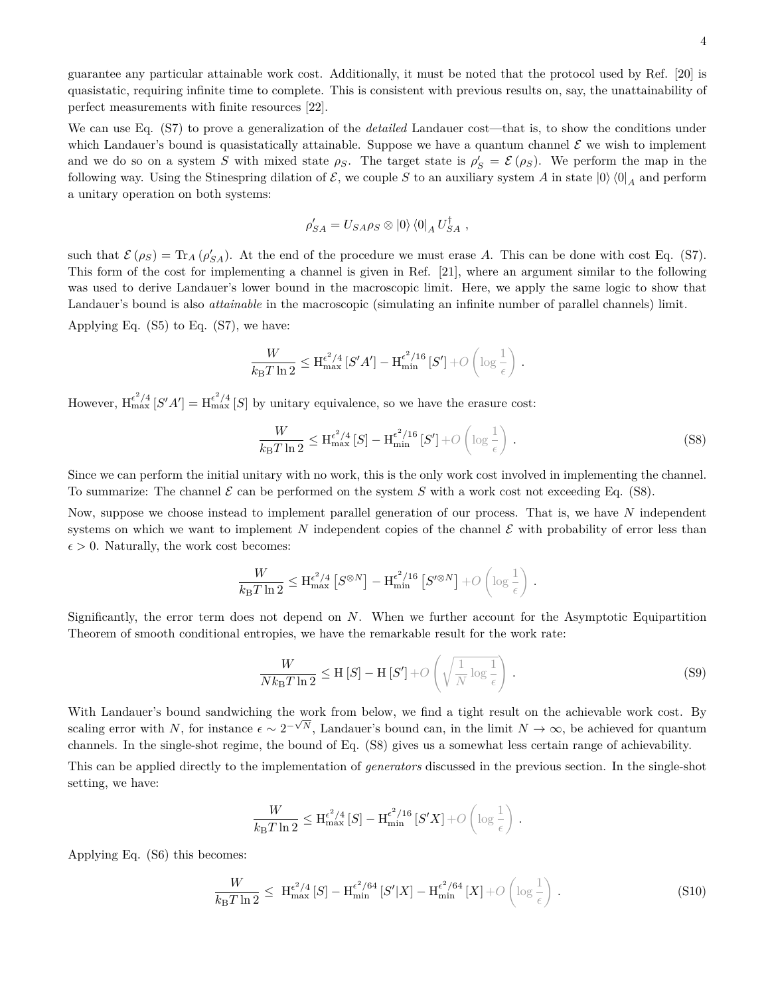guarantee any particular attainable work cost. Additionally, it must be noted that the protocol used by Ref. [20] is quasistatic, requiring infinite time to complete. This is consistent with previous results on, say, the unattainability of perfect measurements with finite resources [22].

We can use Eq. (S7) to prove a generalization of the *detailed* Landauer cost—that is, to show the conditions under which Landauer's bound is quasistatically attainable. Suppose we have a quantum channel  $\mathcal E$  we wish to implement and we do so on a system *S* with mixed state  $\rho_S$ . The target state is  $\rho'_S = \mathcal{E}(\rho_S)$ . We perform the map in the following way. Using the Stinespring dilation of  $\mathcal{E}$ , we couple *S* to an auxiliary system *A* in state  $|0\rangle\langle0|_A$  and perform a unitary operation on both systems:

$$
\rho'_{SA} = U_{SA}\rho_S \otimes |0\rangle \langle 0|_A U_{SA}^{\dagger} ,
$$

such that  $\mathcal{E}(\rho_S) = \text{Tr}_A(\rho'_{SA})$ . At the end of the procedure we must erase *A*. This can be done with cost Eq. (S7). This form of the cost for implementing a channel is given in Ref. [21], where an argument similar to the following was used to derive Landauer's lower bound in the macroscopic limit. Here, we apply the same logic to show that Landauer's bound is also *attainable* in the macroscopic (simulating an infinite number of parallel channels) limit.

Applying Eq. (S5) to Eq. (S7), we have:

$$
\frac{W}{k_{\mathrm{B}}T\ln 2} \leq \mathrm{H}^{\epsilon^2/4}_{\max}\left[S'A'\right] - \mathrm{H}^{\epsilon^2/16}_{\min}\left[S'\right] + \mathcal{O}\left(\log\frac{1}{\epsilon}\right) \,.
$$

However,  $H_{\text{max}}^{\epsilon^2/4}[S'A'] = H_{\text{max}}^{\epsilon^2/4}[S]$  by unitary equivalence, so we have the erasure cost:

$$
\frac{W}{k_{\rm B}T\ln 2} \leq \mathcal{H}_{\rm max}^{\epsilon^2/4} \left[ S \right] - \mathcal{H}_{\rm min}^{\epsilon^2/16} \left[ S' \right] + O\left( \log \frac{1}{\epsilon} \right) \,. \tag{S8}
$$

Since we can perform the initial unitary with no work, this is the only work cost involved in implementing the channel. To summarize: The channel  $\mathcal E$  can be performed on the system  $S$  with a work cost not exceeding Eq. (S8).

Now, suppose we choose instead to implement parallel generation of our process. That is, we have *N* independent systems on which we want to implement *N* independent copies of the channel  $\mathcal E$  with probability of error less than  $\epsilon > 0$ . Naturally, the work cost becomes:

$$
\frac{W}{k_{\mathrm{B}}T\ln 2} \leq \mathrm{H}^{\epsilon^2/4}_{\max}\left[S^{\otimes N}\right] - \mathrm{H}^{\epsilon^2/16}_{\min}\left[S'^{\otimes N}\right] + \mathcal{O}\left(\log\frac{1}{\epsilon}\right) .
$$

Significantly, the error term does not depend on *N*. When we further account for the Asymptotic Equipartition Theorem of smooth conditional entropies, we have the remarkable result for the work rate:

$$
\frac{W}{Nk_{\mathrm{B}}T\ln 2} \le \mathrm{H}\left[S\right] - \mathrm{H}\left[S'\right] + O\left(\sqrt{\frac{1}{N}\log\frac{1}{\epsilon}}\right). \tag{S9}
$$

With Landauer's bound sandwiching the work from below, we find a tight result on the achievable work cost. By scaling error with *N*, for instance  $\epsilon \sim 2^{-\sqrt{N}}$ , Landauer's bound can, in the limit  $N \to \infty$ , be achieved for quantum channels. In the single-shot regime, the bound of Eq. (S8) gives us a somewhat less certain range of achievability.

This can be applied directly to the implementation of *generators* discussed in the previous section. In the single-shot setting, we have:

$$
\frac{W}{k_{\mathrm{B}}T\ln 2} \leq \mathrm{H}^{\epsilon^2/4}_{\mathrm{max}}\left[S\right] - \mathrm{H}^{\epsilon^2/16}_{\mathrm{min}}\left[S'X\right] + O\left(\log\frac{1}{\epsilon}\right)\,.
$$

Applying Eq. (S6) this becomes:

$$
\frac{W}{k_{\mathrm{B}}T\ln 2} \leq \mathcal{H}_{\mathrm{max}}^{\epsilon^2/4} \left[ S \right] - \mathcal{H}_{\mathrm{min}}^{\epsilon^2/64} \left[ S' | X \right] - \mathcal{H}_{\mathrm{min}}^{\epsilon^2/64} \left[ X \right] + O\left( \log \frac{1}{\epsilon} \right) \,. \tag{S10}
$$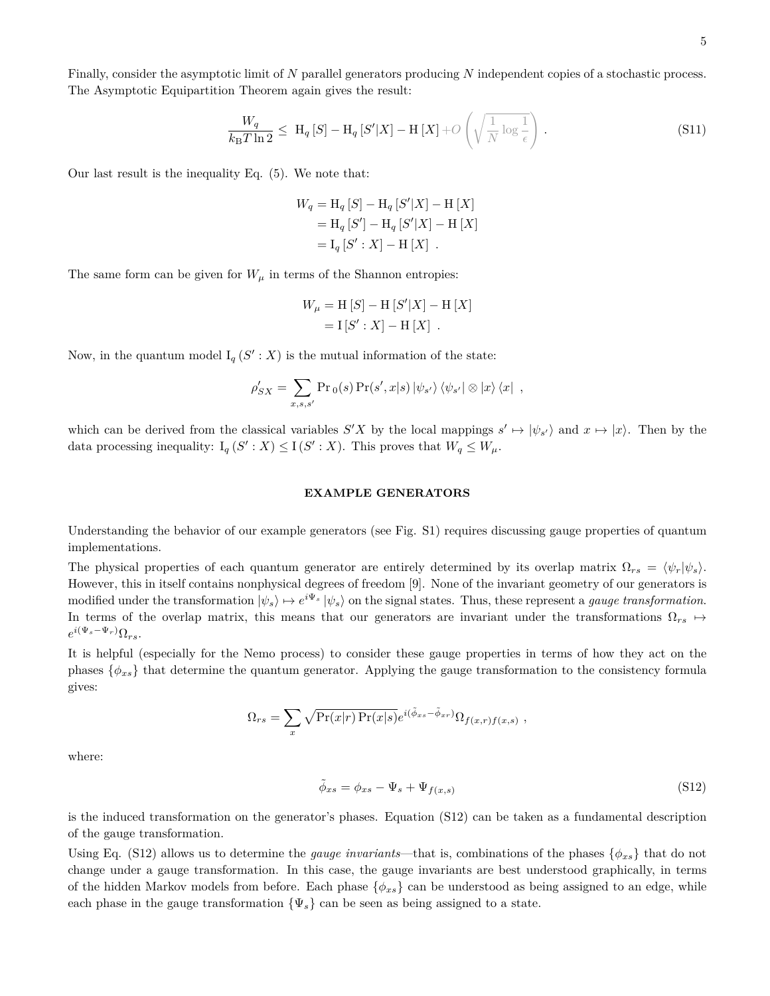Finally, consider the asymptotic limit of *N* parallel generators producing *N* independent copies of a stochastic process. The Asymptotic Equipartition Theorem again gives the result:

$$
\frac{W_q}{k_B T \ln 2} \leq H_q \left[ S \right] - H_q \left[ S' | X \right] - H \left[ X \right] + O\left( \sqrt{\frac{1}{N} \log \frac{1}{\epsilon}} \right). \tag{S11}
$$

Our last result is the inequality Eq. (5). We note that:

$$
W_q = H_q [S] - H_q [S'|X] - H [X]
$$
  
= H\_q [S'] - H\_q [S'|X] - H [X]  
= I\_q [S': X] - H [X].

The same form can be given for  $W_{\mu}$  in terms of the Shannon entropies:

$$
W_{\mu} = H [S] - H [S'|X] - H [X]
$$
  
=  $I [S': X] - H [X]$ .

Now, in the quantum model  $I_q(S': X)$  is the mutual information of the state:

$$
\rho'_{SX} = \sum_{x,s,s'} \Pr_0(s) \Pr(s',x|s) |\psi_{s'}\rangle \langle \psi_{s'}| \otimes |x\rangle \langle x| ,
$$

which can be derived from the classical variables  $S'X$  by the local mappings  $s' \mapsto |\psi_{s'}\rangle$  and  $x \mapsto |x\rangle$ . Then by the data processing inequality:  $I_q(S': X) \leq I(S': X)$ . This proves that  $W_q \leq W_{\mu}$ .

#### **EXAMPLE GENERATORS**

Understanding the behavior of our example generators (see Fig. S1) requires discussing gauge properties of quantum implementations.

The physical properties of each quantum generator are entirely determined by its overlap matrix  $\Omega_{rs} = \langle \psi_r | \psi_s \rangle$ . However, this in itself contains nonphysical degrees of freedom [9]. None of the invariant geometry of our generators is modified under the transformation  $|\psi_s\rangle \mapsto e^{i\Psi_s} |\psi_s\rangle$  on the signal states. Thus, these represent a *gauge transformation*. In terms of the overlap matrix, this means that our generators are invariant under the transformations  $\Omega_{rs} \rightarrow$  $e^{i(\Psi_s - \Psi_r)} \Omega_{rs}$ .

It is helpful (especially for the Nemo process) to consider these gauge properties in terms of how they act on the phases  $\{\phi_{xs}\}\$  that determine the quantum generator. Applying the gauge transformation to the consistency formula gives:

$$
\Omega_{rs} = \sum_{x} \sqrt{\Pr(x|r) \Pr(x|s)} e^{i(\tilde{\phi}_{xs} - \tilde{\phi}_{xr})} \Omega_{f(x,r)f(x,s)},
$$

where:

$$
\tilde{\phi}_{xs} = \phi_{xs} - \Psi_s + \Psi_{f(x,s)} \tag{S12}
$$

is the induced transformation on the generator's phases. Equation (S12) can be taken as a fundamental description of the gauge transformation.

Using Eq. (S12) allows us to determine the *gauge invariants*—that is, combinations of the phases  $\{\phi_{xs}\}$  that do not change under a gauge transformation. In this case, the gauge invariants are best understood graphically, in terms of the hidden Markov models from before. Each phase {*φxs*} can be understood as being assigned to an edge, while each phase in the gauge transformation  ${\Psi_s}$  can be seen as being assigned to a state.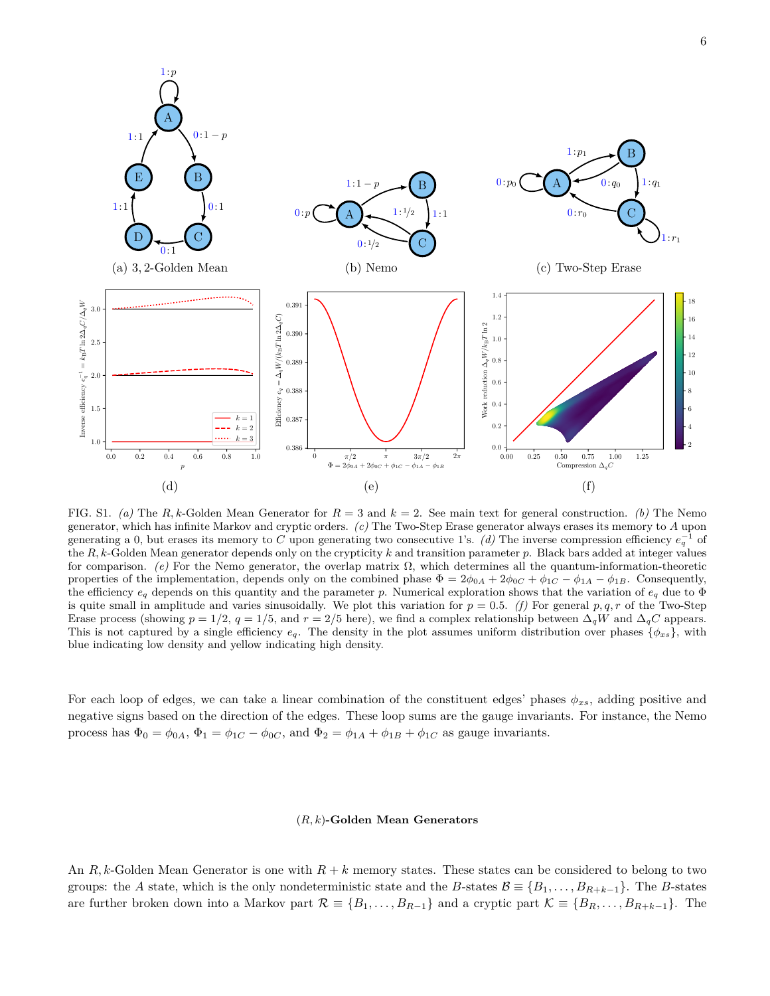

FIG. S1. *(a)* The *R, k*-Golden Mean Generator for *R* = 3 and *k* = 2. See main text for general construction. *(b)* The Nemo generator, which has infinite Markov and cryptic orders. *(c)* The Two-Step Erase generator always erases its memory to *A* upon generating a 0, but erases its memory to *C* upon generating two consecutive 1's.  $(d)$  The inverse compression efficiency  $e_q^{-1}$  of the *R, k*-Golden Mean generator depends only on the crypticity *k* and transition parameter *p*. Black bars added at integer values for comparison. *(e)* For the Nemo generator, the overlap matrix  $\Omega$ , which determines all the quantum-information-theoretic properties of the implementation, depends only on the combined phase  $\Phi = 2\phi_{0A} + 2\phi_{0C} + \phi_{1C} - \phi_{1A} - \phi_{1B}$ . Consequently, the efficiency *e<sup>q</sup>* depends on this quantity and the parameter *p*. Numerical exploration shows that the variation of *e<sup>q</sup>* due to Φ is quite small in amplitude and varies sinusoidally. We plot this variation for  $p = 0.5$ . (f) For general  $p, q, r$  of the Two-Step Erase process (showing  $p = 1/2$ ,  $q = 1/5$ , and  $r = 2/5$  here), we find a complex relationship between  $\Delta_q W$  and  $\Delta_q C$  appears. This is not captured by a single efficiency  $e_q$ . The density in the plot assumes uniform distribution over phases  $\{\phi_{xs}\}$ , with blue indicating low density and yellow indicating high density.

For each loop of edges, we can take a linear combination of the constituent edges' phases *φxs*, adding positive and negative signs based on the direction of the edges. These loop sums are the gauge invariants. For instance, the Nemo process has  $\Phi_0 = \phi_{0A}$ ,  $\Phi_1 = \phi_{1C} - \phi_{0C}$ , and  $\Phi_2 = \phi_{1A} + \phi_{1B} + \phi_{1C}$  as gauge invariants.

#### (*R, k*)**-Golden Mean Generators**

An *R, k*-Golden Mean Generator is one with *R* + *k* memory states. These states can be considered to belong to two groups: the *A* state, which is the only nondeterministic state and the *B*-states  $\mathcal{B} \equiv \{B_1, \ldots, B_{R+k-1}\}\.$  The *B*-states are further broken down into a Markov part  $\mathcal{R} \equiv \{B_1, \ldots, B_{R-1}\}\$  and a cryptic part  $\mathcal{K} \equiv \{B_R, \ldots, B_{R+k-1}\}\$ . The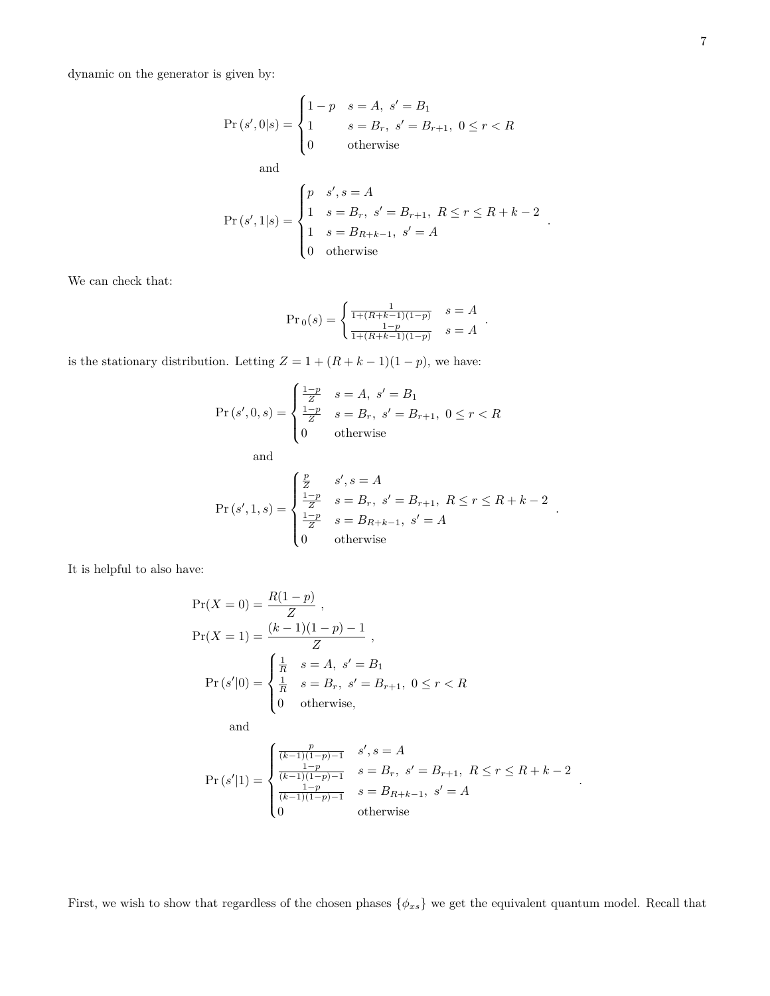dynamic on the generator is given by:

$$
\Pr(s', 0|s) = \begin{cases} 1 - p & s = A, \ s' = B_1 \\ 1 & s = B_r, \ s' = B_{r+1}, \ 0 \le r < R \\ 0 & \text{otherwise} \end{cases}
$$

and

$$
Pr(s', 1|s) = \begin{cases} p & s', s = A \\ 1 & s = B_r, \ s' = B_{r+1}, \ R \le r \le R + k - 2 \\ 1 & s = B_{R+k-1}, \ s' = A \\ 0 & \text{otherwise} \end{cases}.
$$

We can check that:

$$
\Pr_0(s) = \begin{cases} \frac{1}{1 + (R + k - 1)(1 - p)} & s = A \\ \frac{1 - p}{1 + (R + k - 1)(1 - p)} & s = A \end{cases}.
$$

is the stationary distribution. Letting  $Z = 1 + (R + k - 1)(1 - p)$ , we have:

$$
\Pr(s', 0, s) = \begin{cases} \frac{1-p}{Z} & s = A, \ s' = B_1\\ \frac{1-p}{Z} & s = B_r, \ s' = B_{r+1}, \ 0 \le r < R\\ 0 & \text{otherwise} \end{cases}
$$

and

$$
Pr(s', 1, s) = \begin{cases} \frac{p}{Z} & s', s = A \\ \frac{1-p}{Z} & s = B_r, s' = B_{r+1}, R \le r \le R + k - 2 \\ \frac{1-p}{Z} & s = B_{R+k-1}, s' = A \\ 0 & \text{otherwise} \end{cases}.
$$

It is helpful to also have:

$$
Pr(X = 0) = \frac{R(1 - p)}{Z},
$$
  
\n
$$
Pr(X = 1) = \frac{(k - 1)(1 - p) - 1}{Z},
$$
  
\n
$$
Pr(s'|0) = \begin{cases} \frac{1}{R} & s = A, s' = B_1 \\ \frac{1}{R} & s = B_r, s' = B_{r+1}, 0 \le r < R \\ 0 & \text{otherwise}, \end{cases}
$$
  
\nand

$$
\Pr\left(s'|1\right) = \begin{cases} \frac{p}{(k-1)(1-p)-1} & s', s = A\\ \frac{1-p}{(k-1)(1-p)-1} & s = B_r, \ s' = B_{r+1}, \ R \le r \le R+k-2\\ \frac{1-p}{(k-1)(1-p)-1} & s = B_{R+k-1}, \ s' = A\\ 0 & \text{otherwise} \end{cases}
$$

*.*

First, we wish to show that regardless of the chosen phases  $\{\phi_{xs}\}$  we get the equivalent quantum model. Recall that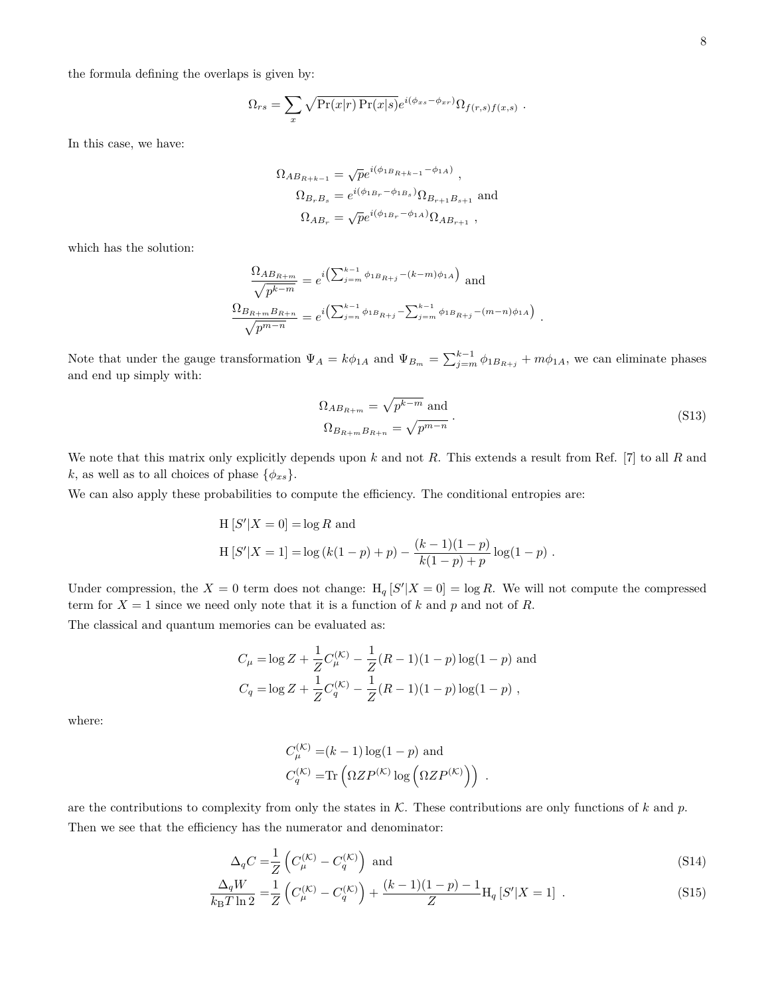the formula defining the overlaps is given by:

$$
\Omega_{rs} = \sum_{x} \sqrt{\Pr(x|r) \Pr(x|s)} e^{i(\phi_{xs} - \phi_{xr})} \Omega_{f(r,s)f(x,s)}.
$$

In this case, we have:

$$
\Omega_{AB_{R+k-1}} = \sqrt{p}e^{i(\phi_{1B_{R+k-1}} - \phi_{1A})},
$$
  
\n
$$
\Omega_{B_rB_s} = e^{i(\phi_{1B_r} - \phi_{1B_s})}\Omega_{B_{r+1}B_{s+1}}
$$
 and  
\n
$$
\Omega_{AB_r} = \sqrt{p}e^{i(\phi_{1B_r} - \phi_{1A})}\Omega_{AB_{r+1}},
$$

which has the solution:

$$
\frac{\Omega_{AB_{R+m}}}{\sqrt{p^{k-m}}} = e^{i\left(\sum_{j=m}^{k-1} \phi_{1B_{R+j}} - (k-m)\phi_{1A}\right)} \text{ and}
$$

$$
\frac{\Omega_{B_{R+m}B_{R+n}}}{\sqrt{p^{m-n}}} = e^{i\left(\sum_{j=n}^{k-1} \phi_{1B_{R+j}} - \sum_{j=m}^{k-1} \phi_{1B_{R+j}} - (m-n)\phi_{1A}\right)}
$$

Note that under the gauge transformation  $\Psi_A = k\phi_{1A}$  and  $\Psi_{B_m} = \sum_{j=m}^{k-1} \phi_{1B_{R+j}} + m\phi_{1A}$ , we can eliminate phases and end up simply with:

$$
\Omega_{AB_{R+m}} = \sqrt{p^{k-m}} \text{ and}
$$
  
\n
$$
\Omega_{B_{R+m}B_{R+n}} = \sqrt{p^{m-n}}.
$$
\n(S13)

*.*

We note that this matrix only explicitly depends upon *k* and not *R*. This extends a result from Ref. [7] to all *R* and *k*, as well as to all choices of phase  $\{\phi_{xs}\}.$ 

We can also apply these probabilities to compute the efficiency. The conditional entropies are:

H [S'|X = 0] = log R and  
H [S'|X = 1] = log 
$$
(k(1-p) + p) - \frac{(k-1)(1-p)}{k(1-p) + p} \log(1-p)
$$
.

Under compression, the  $X = 0$  term does not change:  $H_q[S'|X = 0] = \log R$ . We will not compute the compressed term for  $X = 1$  since we need only note that it is a function of k and p and not of R.

The classical and quantum memories can be evaluated as:

$$
C_{\mu} = \log Z + \frac{1}{Z}C_{\mu}^{(K)} - \frac{1}{Z}(R-1)(1-p)\log(1-p)
$$
 and  

$$
C_q = \log Z + \frac{1}{Z}C_q^{(K)} - \frac{1}{Z}(R-1)(1-p)\log(1-p)
$$
,

where:

$$
C_{\mu}^{(\mathcal{K})} = (k-1)\log(1-p)
$$
 and  

$$
C_{q}^{(\mathcal{K})} = \text{Tr}\left(\Omega Z P^{(\mathcal{K})} \log\left(\Omega Z P^{(\mathcal{K})}\right)\right).
$$

are the contributions to complexity from only the states in K. These contributions are only functions of *k* and *p*. Then we see that the efficiency has the numerator and denominator:

$$
\Delta_q C = \frac{1}{Z} \left( C_{\mu}^{(\mathcal{K})} - C_q^{(\mathcal{K})} \right) \text{ and } \tag{S14}
$$

$$
\frac{\Delta_q W}{k_B T \ln 2} = \frac{1}{Z} \left( C_{\mu}^{(K)} - C_q^{(K)} \right) + \frac{(k-1)(1-p) - 1}{Z} H_q \left[ S' | X = 1 \right] \ . \tag{S15}
$$